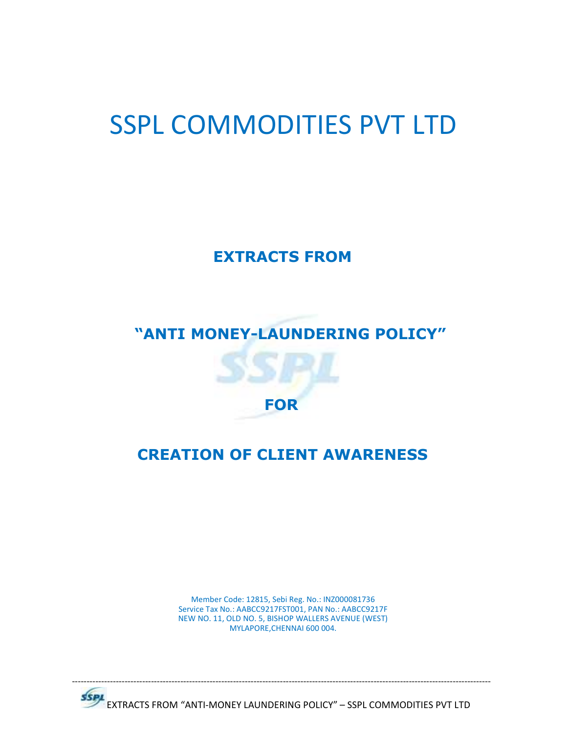# SSPL COMMODITIES PVT LTD

**EXTRACTS FROM** 

# **"ANTI MONEY-LAUNDERING POLICY"**



# **CREATION OF CLIENT AWARENESS**

Member Code: 12815, Sebi Reg. No.: INZ000081736 Service Tax No.: AABCC9217FST001, PAN No.: AABCC9217F NEW NO. 11, OLD NO. 5, BISHOP WALLERS AVENUE (WEST) MYLAPORE,CHENNAI 600 004.



EXTRACTS FROM "ANTI-MONEY LAUNDERING POLICY" – SSPL COMMODITIES PVT LTD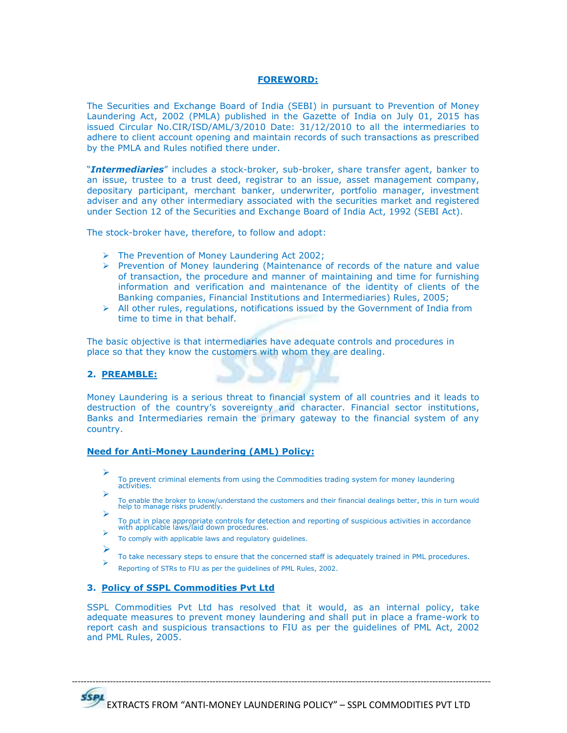# **FOREWORD:**

The Securities and Exchange Board of India (SEBI) in pursuant to Prevention of Money Laundering Act, 2002 (PMLA) published in the Gazette of India on July 01, 2015 has issued Circular No.CIR/ISD/AML/3/2010 Date: 31/12/2010 to all the intermediaries to adhere to client account opening and maintain records of such transactions as prescribed by the PMLA and Rules notified there under.

"*Intermediaries*" includes a stock-broker, sub-broker, share transfer agent, banker to an issue, trustee to a trust deed, registrar to an issue, asset management company, depositary participant, merchant banker, underwriter, portfolio manager, investment adviser and any other intermediary associated with the securities market and registered under Section 12 of the Securities and Exchange Board of India Act, 1992 (SEBI Act).

The stock-broker have, therefore, to follow and adopt:

- The Prevention of Money Laundering Act 2002;
- $\triangleright$  Prevention of Money laundering (Maintenance of records of the nature and value of transaction, the procedure and manner of maintaining and time for furnishing information and verification and maintenance of the identity of clients of the Banking companies, Financial Institutions and Intermediaries) Rules, 2005;
- $\triangleright$  All other rules, regulations, notifications issued by the Government of India from time to time in that behalf.

The basic objective is that intermediaries have adequate controls and procedures in place so that they know the customers with whom they are dealing.

## **2. PREAMBLE:**

Money Laundering is a serious threat to financial system of all countries and it leads to destruction of the country's sovereignty and character. Financial sector institutions, Banks and Intermediaries remain the primary gateway to the financial system of any country.

#### **Need for Anti-Money Laundering (AML) Policy:**

- ➤ To prevent criminal elements from using the Commodities trading system for money laundering activities.
- $\blacktriangleright$ To enable the broker to know/understand the customers and their financial dealings better, this in turn would help to manage risks prudently.  $\blacktriangleright$
- To put in place appropriate controls for detection and reporting of suspicious activities in accordance with applicable laws/laid down procedures.  $\blacktriangleright$
- To comply with applicable laws and regulatory guidelines.
- $\blacktriangleright$ 
	- To take necessary steps to ensure that the concerned staff is adequately trained in PML procedures.
- $\blacktriangleright$ Reporting of STRs to FIU as per the guidelines of PML Rules, 2002.

## **3. Policy of SSPL Commodities Pvt Ltd**

SSPL Commodities Pvt Ltd has resolved that it would, as an internal policy, take adequate measures to prevent money laundering and shall put in place a frame-work to report cash and suspicious transactions to FIU as per the guidelines of PML Act, 2002 and PML Rules, 2005.

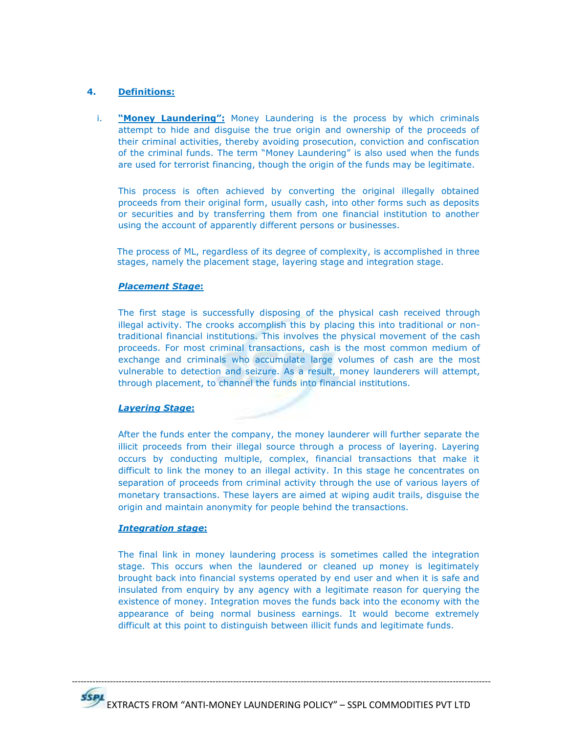# **4. Definitions:**

i. **"Money Laundering":** Money Laundering is the process by which criminals attempt to hide and disguise the true origin and ownership of the proceeds of their criminal activities, thereby avoiding prosecution, conviction and confiscation of the criminal funds. The term "Money Laundering" is also used when the funds are used for terrorist financing, though the origin of the funds may be legitimate.

This process is often achieved by converting the original illegally obtained proceeds from their original form, usually cash, into other forms such as deposits or securities and by transferring them from one financial institution to another using the account of apparently different persons or businesses.

The process of ML, regardless of its degree of complexity, is accomplished in three stages, namely the placement stage, layering stage and integration stage.

# *Placement Stage***:**

The first stage is successfully disposing of the physical cash received through illegal activity. The crooks accomplish this by placing this into traditional or nontraditional financial institutions. This involves the physical movement of the cash proceeds. For most criminal transactions, cash is the most common medium of exchange and criminals who accumulate large volumes of cash are the most vulnerable to detection and seizure. As a result, money launderers will attempt, through placement, to channel the funds into financial institutions.

# *Layering Stage***:**

After the funds enter the company, the money launderer will further separate the illicit proceeds from their illegal source through a process of layering. Layering occurs by conducting multiple, complex, financial transactions that make it difficult to link the money to an illegal activity. In this stage he concentrates on separation of proceeds from criminal activity through the use of various layers of monetary transactions. These layers are aimed at wiping audit trails, disguise the origin and maintain anonymity for people behind the transactions.

## *Integration stage***:**

The final link in money laundering process is sometimes called the integration stage. This occurs when the laundered or cleaned up money is legitimately brought back into financial systems operated by end user and when it is safe and insulated from enquiry by any agency with a legitimate reason for querying the existence of money. Integration moves the funds back into the economy with the appearance of being normal business earnings. It would become extremely difficult at this point to distinguish between illicit funds and legitimate funds.

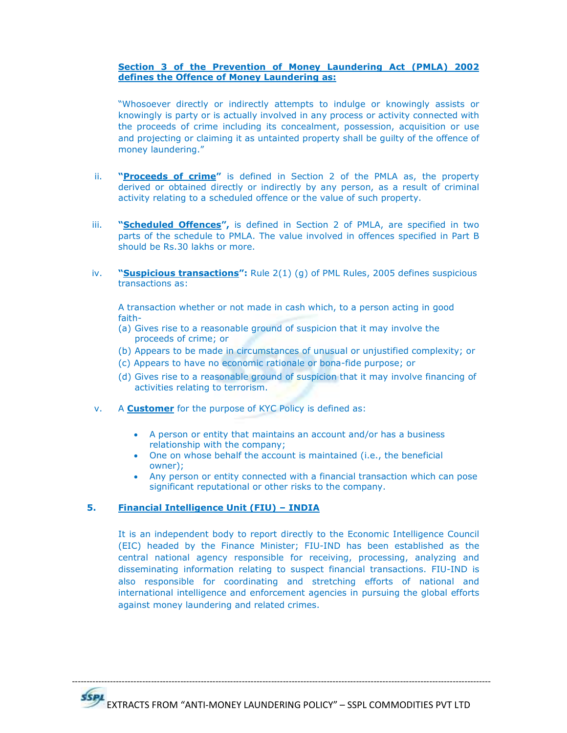# **Section 3 of the Prevention of Money Laundering Act (PMLA) 2002 defines the Offence of Money Laundering as:**

"Whosoever directly or indirectly attempts to indulge or knowingly assists or knowingly is party or is actually involved in any process or activity connected with the proceeds of crime including its concealment, possession, acquisition or use and projecting or claiming it as untainted property shall be guilty of the offence of money laundering."

- ii. **"Proceeds of crime"** is defined in Section 2 of the PMLA as, the property derived or obtained directly or indirectly by any person, as a result of criminal activity relating to a scheduled offence or the value of such property.
- iii. **"Scheduled Offences"**, is defined in Section 2 of PMLA, are specified in two parts of the schedule to PMLA. The value involved in offences specified in Part B should be Rs.30 lakhs or more.
- iv. **"Suspicious transactions":** Rule 2(1) (g) of PML Rules, 2005 defines suspicious transactions as:

A transaction whether or not made in cash which, to a person acting in good faith-

- (a) Gives rise to a reasonable ground of suspicion that it may involve the proceeds of crime; or
- (b) Appears to be made in circumstances of unusual or unjustified complexity; or
- (c) Appears to have no economic rationale or bona-fide purpose; or
- (d) Gives rise to a reasonable ground of suspicion that it may involve financing of activities relating to terrorism.
- v. A **Customer** for the purpose of KYC Policy is defined as:
	- A person or entity that maintains an account and/or has a business relationship with the company;
	- One on whose behalf the account is maintained (i.e., the beneficial owner);
	- Any person or entity connected with a financial transaction which can pose significant reputational or other risks to the company.

# **5. Financial Intelligence Unit (FIU) – INDIA**

It is an independent body to report directly to the Economic Intelligence Council (EIC) headed by the Finance Minister; FIU-IND has been established as the central national agency responsible for receiving, processing, analyzing and disseminating information relating to suspect financial transactions. FIU-IND is also responsible for coordinating and stretching efforts of national and international intelligence and enforcement agencies in pursuing the global efforts against money laundering and related crimes.

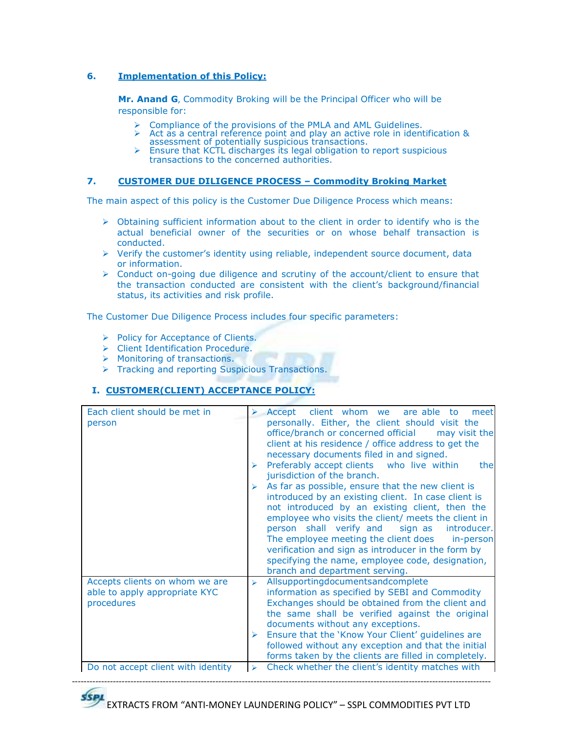# **6. Implementation of this Policy:**

**Mr. Anand G**, Commodity Broking will be the Principal Officer who will be responsible for:

- Compliance of the provisions of the PMLA and AML Guidelines.
- Act as a central reference point and play an active role in identification &
- assessment of potentially suspicious transactions. Ensure that KCTL discharges its legal obligation to report suspicious transactions to the concerned authorities.

# **7. CUSTOMER DUE DILIGENCE PROCESS – Commodity Broking Market**

The main aspect of this policy is the Customer Due Diligence Process which means:

- $\triangleright$  Obtaining sufficient information about to the client in order to identify who is the actual beneficial owner of the securities or on whose behalf transaction is conducted.
- $\triangleright$  Verify the customer's identity using reliable, independent source document, data or information.
- Conduct on-going due diligence and scrutiny of the account/client to ensure that the transaction conducted are consistent with the client's background/financial status, its activities and risk profile.

The Customer Due Diligence Process includes four specific parameters:

- Policy for Acceptance of Clients.
- > Client Identification Procedure.
- $\triangleright$  Monitoring of transactions.
- **FIRM 7 Tracking and reporting Suspicious Transactions.**

# **I. CUSTOMER(CLIENT) ACCEPTANCE POLICY:**

| Each client should be met in<br>person                                        | client whom we<br>are able<br>$\triangleright$ Accept<br>to<br>meet<br>personally. Either, the client should visit the<br>office/branch or concerned official<br>may visit the<br>client at his residence / office address to get the<br>necessary documents filed in and signed.<br>Preferably accept clients who live within<br>the<br>jurisdiction of the branch.<br>As far as possible, ensure that the new client is<br>introduced by an existing client. In case client is<br>not introduced by an existing client, then the<br>employee who visits the client/ meets the client in<br>person shall verify and sign as<br>introducer.<br>The employee meeting the client does<br>in-person<br>verification and sign as introducer in the form by<br>specifying the name, employee code, designation,<br>branch and department serving. |
|-------------------------------------------------------------------------------|----------------------------------------------------------------------------------------------------------------------------------------------------------------------------------------------------------------------------------------------------------------------------------------------------------------------------------------------------------------------------------------------------------------------------------------------------------------------------------------------------------------------------------------------------------------------------------------------------------------------------------------------------------------------------------------------------------------------------------------------------------------------------------------------------------------------------------------------|
| Accepts clients on whom we are<br>able to apply appropriate KYC<br>procedures | Allsupportingdocumentsandcomplete<br>⋗<br>information as specified by SEBI and Commodity<br>Exchanges should be obtained from the client and<br>the same shall be verified against the original<br>documents without any exceptions.<br>Ensure that the 'Know Your Client' guidelines are<br>➤<br>followed without any exception and that the initial<br>forms taken by the clients are filled in completely.                                                                                                                                                                                                                                                                                                                                                                                                                                |
| Do not accept client with identity                                            | Check whether the client's identity matches with<br>$\blacktriangleright$                                                                                                                                                                                                                                                                                                                                                                                                                                                                                                                                                                                                                                                                                                                                                                    |

EXTRACTS FROM "ANTI-MONEY LAUNDERING POLICY" – SSPL COMMODITIES PVT LTD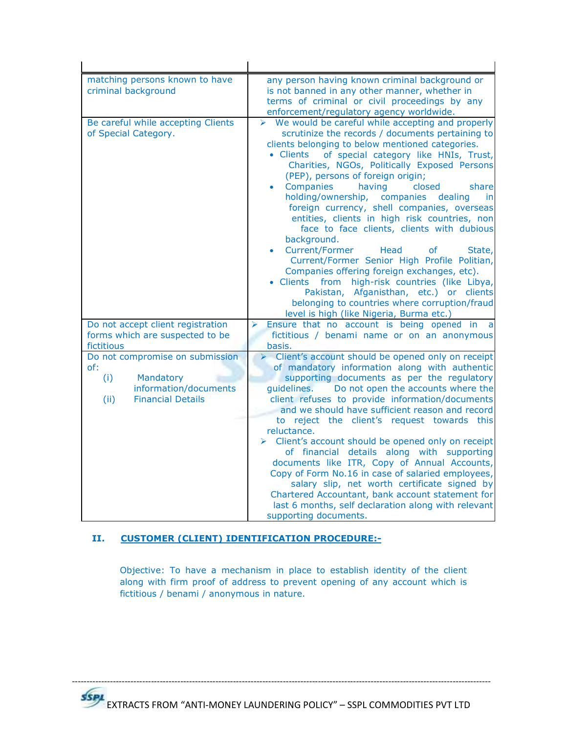| matching persons known to have<br>criminal background                | any person having known criminal background or<br>is not banned in any other manner, whether in<br>terms of criminal or civil proceedings by any<br>enforcement/regulatory agency worldwide.                                                                                                                                                                                                                                                                                                                                                                                                                                                                                                                                                                                                                                                                                                                                  |
|----------------------------------------------------------------------|-------------------------------------------------------------------------------------------------------------------------------------------------------------------------------------------------------------------------------------------------------------------------------------------------------------------------------------------------------------------------------------------------------------------------------------------------------------------------------------------------------------------------------------------------------------------------------------------------------------------------------------------------------------------------------------------------------------------------------------------------------------------------------------------------------------------------------------------------------------------------------------------------------------------------------|
| Be careful while accepting Clients<br>of Special Category.           | $\triangleright$ We would be careful while accepting and properly<br>scrutinize the records / documents pertaining to<br>clients belonging to below mentioned categories.<br>· Clients of special category like HNIs, Trust,<br>Charities, NGOs, Politically Exposed Persons<br>(PEP), persons of foreign origin;<br>Companies<br>having<br>closed<br>share<br>holding/ownership, companies dealing<br>in<br>foreign currency, shell companies, overseas<br>entities, clients in high risk countries, non<br>face to face clients, clients with dubious<br>background.<br><b>Current/Former</b><br>Head<br><b>of</b><br>State,<br>٠<br>Current/Former Senior High Profile Politian,<br>Companies offering foreign exchanges, etc).<br>· Clients from high-risk countries (like Libya,<br>Pakistan, Afganisthan, etc.) or clients<br>belonging to countries where corruption/fraud<br>level is high (like Nigeria, Burma etc.) |
| Do not accept client registration<br>forms which are suspected to be | Ensure that no account is being opened in<br>➤<br>a<br>fictitious / benami name or on an anonymous                                                                                                                                                                                                                                                                                                                                                                                                                                                                                                                                                                                                                                                                                                                                                                                                                            |
| fictitious                                                           | basis.                                                                                                                                                                                                                                                                                                                                                                                                                                                                                                                                                                                                                                                                                                                                                                                                                                                                                                                        |
| Do not compromise on submission                                      | > Client's account should be opened only on receipt<br>of mandatory information along with authentic                                                                                                                                                                                                                                                                                                                                                                                                                                                                                                                                                                                                                                                                                                                                                                                                                          |
| of:<br>(i)<br>Mandatory                                              | supporting documents as per the regulatory                                                                                                                                                                                                                                                                                                                                                                                                                                                                                                                                                                                                                                                                                                                                                                                                                                                                                    |
| information/documents                                                | quidelines.<br>Do not open the accounts where the                                                                                                                                                                                                                                                                                                                                                                                                                                                                                                                                                                                                                                                                                                                                                                                                                                                                             |
| (ii)<br><b>Financial Details</b>                                     | client refuses to provide information/documents<br>and we should have sufficient reason and record<br>to reject the client's request towards this<br>reluctance.<br>Client's account should be opened only on receipt<br>of financial details along with supporting<br>documents like ITR, Copy of Annual Accounts,<br>Copy of Form No.16 in case of salaried employees,<br>salary slip, net worth certificate signed by                                                                                                                                                                                                                                                                                                                                                                                                                                                                                                      |
|                                                                      | Chartered Accountant, bank account statement for<br>last 6 months, self declaration along with relevant<br>supporting documents.                                                                                                                                                                                                                                                                                                                                                                                                                                                                                                                                                                                                                                                                                                                                                                                              |

# **II. CUSTOMER (CLIENT) IDENTIFICATION PROCEDURE:-**

Objective: To have a mechanism in place to establish identity of the client along with firm proof of address to prevent opening of any account which is fictitious / benami / anonymous in nature.

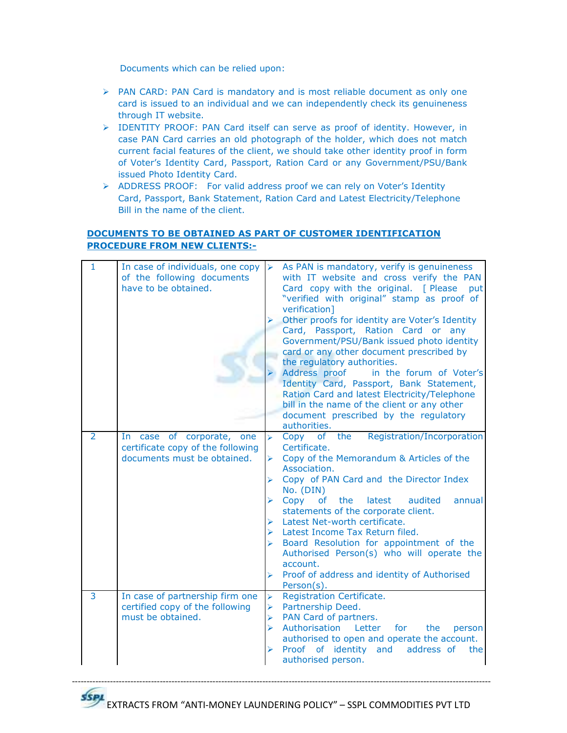Documents which can be relied upon:

- > PAN CARD: PAN Card is mandatory and is most reliable document as only one card is issued to an individual and we can independently check its genuineness through IT website.
- > IDENTITY PROOF: PAN Card itself can serve as proof of identity. However, in case PAN Card carries an old photograph of the holder, which does not match current facial features of the client, we should take other identity proof in form of Voter's Identity Card, Passport, Ration Card or any Government/PSU/Bank issued Photo Identity Card.
- > ADDRESS PROOF: For valid address proof we can rely on Voter's Identity Card, Passport, Bank Statement, Ration Card and Latest Electricity/Telephone Bill in the name of the client.

# **DOCUMENTS TO BE OBTAINED AS PART OF CUSTOMER IDENTIFICATION PROCEDURE FROM NEW CLIENTS:-**

| $\mathbf{1}$   | In case of individuals, one copy<br>of the following documents<br>have to be obtained.        | $\rightarrow$                                                                                    | As PAN is mandatory, verify is genuineness<br>with IT website and cross verify the PAN<br>Card copy with the original. [ Please<br>put<br>"verified with original" stamp as proof of<br>verification]<br>Other proofs for identity are Voter's Identity<br>Card, Passport, Ration Card or any<br>Government/PSU/Bank issued photo identity<br>card or any other document prescribed by<br>the regulatory authorities.<br>Address proof<br>in the forum of Voter's<br>Identity Card, Passport, Bank Statement,<br>Ration Card and latest Electricity/Telephone<br>bill in the name of the client or any other<br>document prescribed by the regulatory<br>authorities.                                                                                           |
|----------------|-----------------------------------------------------------------------------------------------|--------------------------------------------------------------------------------------------------|-----------------------------------------------------------------------------------------------------------------------------------------------------------------------------------------------------------------------------------------------------------------------------------------------------------------------------------------------------------------------------------------------------------------------------------------------------------------------------------------------------------------------------------------------------------------------------------------------------------------------------------------------------------------------------------------------------------------------------------------------------------------|
| $\overline{2}$ | In case of corporate, one<br>certificate copy of the following<br>documents must be obtained. | ⋗<br>➤<br>➤<br>⋗<br>⋗<br>➤                                                                       | Registration/Incorporation<br>$\triangleright$ Copy of<br>the<br>Certificate.<br>> Copy of the Memorandum & Articles of the<br>Association.<br>Copy of PAN Card and the Director Index<br>No. (DIN)<br>Copy<br>the<br>latest<br>of the contract of the contract of the contract of the contract of the contract of the contract of the contract of the contract of the contract of the contract of the contract of the contract of the contract of the contrac<br>audited<br>annual<br>statements of the corporate client.<br>Latest Net-worth certificate.<br>Latest Income Tax Return filed.<br>Board Resolution for appointment of the<br>Authorised Person(s) who will operate the<br>account.<br>Proof of address and identity of Authorised<br>Person(s). |
| 3              | In case of partnership firm one<br>certified copy of the following<br>must be obtained.       | $\blacktriangleright$<br>$\blacktriangleright$<br>$\blacktriangleright$<br>$\blacktriangleright$ | Registration Certificate.<br>Partnership Deed.<br>PAN Card of partners.<br>Letter<br>Authorisation<br>for<br>the<br>person<br>authorised to open and operate the account.<br>Proof of identity<br>and<br>address of<br>the<br>authorised person.                                                                                                                                                                                                                                                                                                                                                                                                                                                                                                                |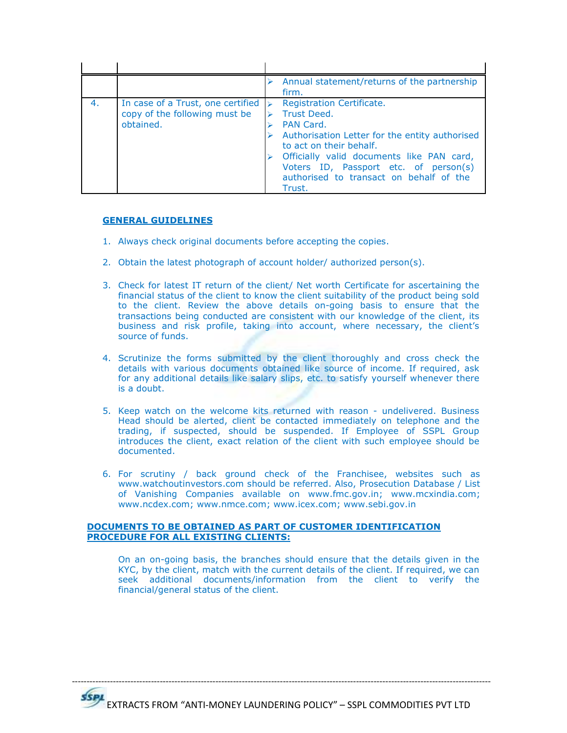|    |                                                                                 | Annual statement/returns of the partnership<br>firm.                                                                                                                                                                                                                          |
|----|---------------------------------------------------------------------------------|-------------------------------------------------------------------------------------------------------------------------------------------------------------------------------------------------------------------------------------------------------------------------------|
| 4. | In case of a Trust, one certified<br>copy of the following must be<br>obtained. | Registration Certificate.<br>Trust Deed.<br>PAN Card.<br>Authorisation Letter for the entity authorised<br>to act on their behalf.<br>Officially valid documents like PAN card,<br>Voters ID, Passport etc. of person(s)<br>authorised to transact on behalf of the<br>Trust. |

## **GENERAL GUIDELINES**

- 1. Always check original documents before accepting the copies.
- 2. Obtain the latest photograph of account holder/ authorized person(s).
- 3. Check for latest IT return of the client/ Net worth Certificate for ascertaining the financial status of the client to know the client suitability of the product being sold to the client. Review the above details on-going basis to ensure that the transactions being conducted are consistent with our knowledge of the client, its business and risk profile, taking into account, where necessary, the client's source of funds.
- 4. Scrutinize the forms submitted by the client thoroughly and cross check the details with various documents obtained like source of income. If required, ask for any additional details like salary slips, etc. to satisfy yourself whenever there is a doubt.
- 5. Keep watch on the welcome kits returned with reason undelivered. Business Head should be alerted, client be contacted immediately on telephone and the trading, if suspected, should be suspended. If Employee of SSPL Group introduces the client, exact relation of the client with such employee should be documented.
- 6. For scrutiny / back ground check of the Franchisee, websites such as www.watchoutinvestors.com should be referred. Also, Prosecution Database / List of Vanishing Companies available on www.fmc.gov.in; www.mcxindia.com; www.ncdex.com; www.nmce.com; www.icex.com; www.sebi.gov.in

## **DOCUMENTS TO BE OBTAINED AS PART OF CUSTOMER IDENTIFICATION PROCEDURE FOR ALL EXISTING CLIENTS:**

On an on-going basis, the branches should ensure that the details given in the KYC, by the client, match with the current details of the client. If required, we can seek additional documents/information from the client to verify the financial/general status of the client.

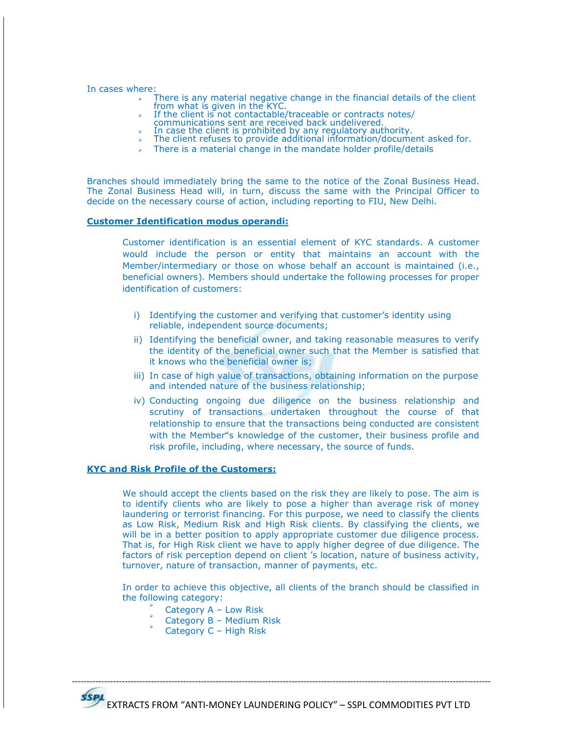In cases where:

- $\triangleright$  There is any material negative change in the financial details of the client from what is given in the KYC.
- $\triangleright$  If the client is not contactable/traceable or contracts notes/
- communications sent are received back undelivered.
- In case the client is prohibited by any regulatory authority.
- $\triangleright$  The client refuses to provide additional information/document asked for.
- $\triangleright$  There is a material change in the mandate holder profile/details

Branches should immediately bring the same to the notice of the Zonal Business Head. The Zonal Business Head will, in turn, discuss the same with the Principal Officer to decide on the necessary course of action, including reporting to FIU, New Delhi.

#### **Customer Identification modus operandi:**

Customer identification is an essential element of KYC standards. A customer would include the person or entity that maintains an account with the Member/intermediary or those on whose behalf an account is maintained (i.e., beneficial owners). Members should undertake the following processes for proper identification of customers:

- i) Identifying the customer and verifying that customer's identity using reliable, independent source documents;
- ii) Identifying the beneficial owner, and taking reasonable measures to verify the identity of the beneficial owner such that the Member is satisfied that it knows who the beneficial owner is;
- iii) In case of high value of transactions, obtaining information on the purpose and intended nature of the business relationship;
- iv) Conducting ongoing due diligence on the business relationship and scrutiny of transactions undertaken throughout the course of that relationship to ensure that the transactions being conducted are consistent with the Member"s knowledge of the customer, their business profile and risk profile, including, where necessary, the source of funds.

## **KYC and Risk Profile of the Customers:**

We should accept the clients based on the risk they are likely to pose. The aim is to identify clients who are likely to pose a higher than average risk of money laundering or terrorist financing. For this purpose, we need to classify the clients as Low Risk, Medium Risk and High Risk clients. By classifying the clients, we will be in a better position to apply appropriate customer due diligence process. That is, for High Risk client we have to apply higher degree of due diligence. The factors of risk perception depend on client 's location, nature of business activity, turnover, nature of transaction, manner of payments, etc.

In order to achieve this objective, all clients of the branch should be classified in the following category:

- $\blacktriangleright$ Category A – Low Risk
- $\blacktriangleright$ Category B – Medium Risk
- $\blacktriangleright$ Category C – High Risk

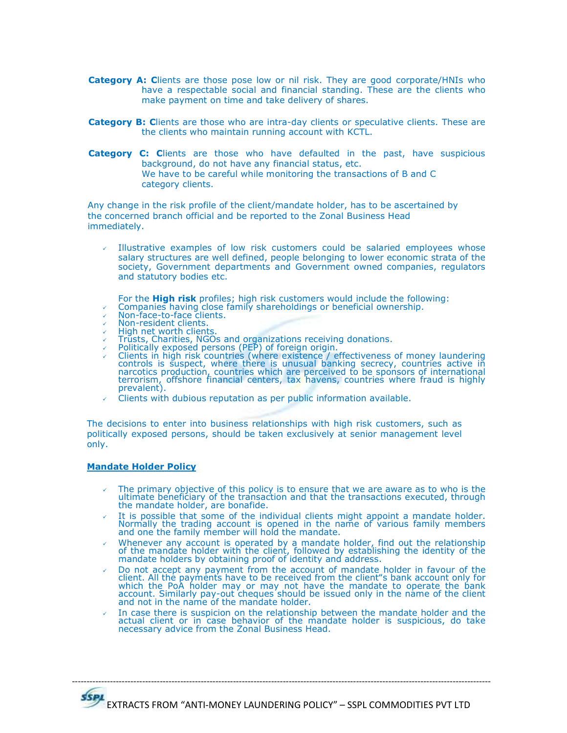- **Category A: C**lients are those pose low or nil risk. They are good corporate/HNIs who have a respectable social and financial standing. These are the clients who make payment on time and take delivery of shares.
- **Category B: C**lients are those who are intra-day clients or speculative clients. These are the clients who maintain running account with KCTL.
- **Category C: C**lients are those who have defaulted in the past, have suspicious background, do not have any financial status, etc. We have to be careful while monitoring the transactions of B and C category clients.

Any change in the risk profile of the client/mandate holder, has to be ascertained by the concerned branch official and be reported to the Zonal Business Head immediately.

- Illustrative examples of low risk customers could be salaried employees whose salary structures are well defined, people belonging to lower economic strata of the society, Government departments and Government owned companies, regulators and statutory bodies etc.
	- For the **High risk** profiles; high risk customers would include the following:
- $\sim$  Companies having close family shareholdings or beneficial ownership.
- Non-face-to-face clients.
- $\sqrt{ }$  Non-resident clients.
- $\sqrt{ }$  High net worth clients.
- $\sqrt{ }$  Trusts, Charities, NGOs and organizations receiving donations.
- $\angle$  Politically exposed persons (PEP) of foreign origin.
- $\sim$  Clients in high risk countries (where existence / effectiveness of money laundering controls is suspect, where there is unusual banking secrecy, countries active in narcotics production, countries which are perceived to be sponsors of international terrorism, offshore financial centers, tax havens, countries where fraud is highly prevalent).
- Clients with dubious reputation as per public information available.

The decisions to enter into business relationships with high risk customers, such as politically exposed persons, should be taken exclusively at senior management level only.

#### **Mandate Holder Policy**

- $\sim$  The primary objective of this policy is to ensure that we are aware as to who is the ultimate beneficiary of the transaction and that the transactions executed, through the mandate holder, are bonafide.
- $\sim$  It is possible that some of the individual clients might appoint a mandate holder. Normally the trading account is opened in the name of various family members and one the family member will hold the mandate.
- $\vee$  Whenever any account is operated by a mandate holder, find out the relationship of the mandate holder with the client, followed by establishing the identity of the mandate holders by obtaining proof of identity and address.
- Do not accept any payment from the account of mandate holder in favour of the client. All the payments have to be received from the client"s bank account only for which the PoA holder may or may not have the mandate to operate the bank account. Similarly pay-out cheques should be issued only in the name of the client and not in the name of the mandate holder.
- In case there is suspicion on the relationship between the mandate holder and the actual client or in case behavior of the mandate holder is suspicious, do take necessary advice from the Zonal Business Head.

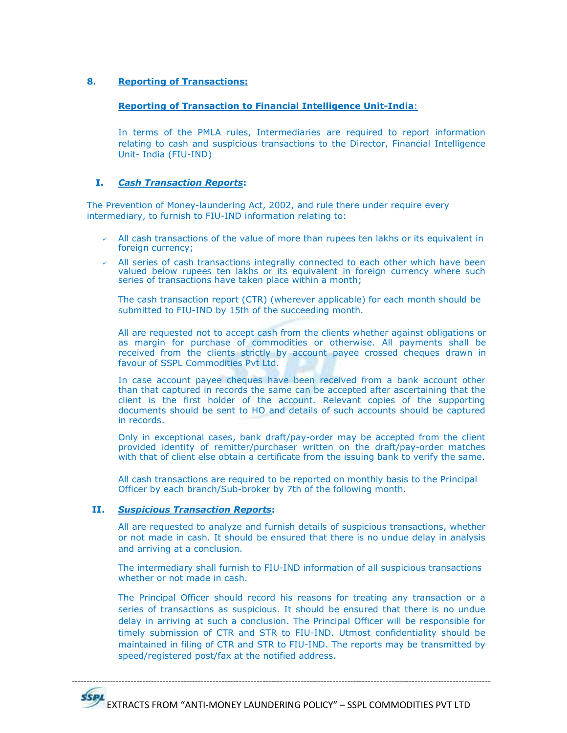# **8. Reporting of Transactions:**

# **Reporting of Transaction to Financial Intelligence Unit-India**:

In terms of the PMLA rules, Intermediaries are required to report information relating to cash and suspicious transactions to the Director, Financial Intelligence Unit- India (FIU-IND)

# **I.** *Cash Transaction Reports***:**

The Prevention of Money-laundering Act, 2002, and rule there under require every intermediary, to furnish to FIU-IND information relating to:

- All cash transactions of the value of more than rupees ten lakhs or its equivalent in foreign currency;
- All series of cash transactions integrally connected to each other which have been valued below rupees ten lakhs or its equivalent in foreign currency where such series of transactions have taken place within a month;

The cash transaction report (CTR) (wherever applicable) for each month should be submitted to FIU-IND by 15th of the succeeding month.

All are requested not to accept cash from the clients whether against obligations or as margin for purchase of commodities or otherwise. All payments shall be received from the clients strictly by account payee crossed cheques drawn in favour of SSPL Commodities Pvt Ltd.

In case account payee cheques have been received from a bank account other than that captured in records the same can be accepted after ascertaining that the client is the first holder of the account. Relevant copies of the supporting documents should be sent to HO and details of such accounts should be captured in records.

Only in exceptional cases, bank draft/pay-order may be accepted from the client provided identity of remitter/purchaser written on the draft/pay-order matches with that of client else obtain a certificate from the issuing bank to verify the same.

All cash transactions are required to be reported on monthly basis to the Principal Officer by each branch/Sub-broker by 7th of the following month.

# **II.** *Suspicious Transaction Reports***:**

All are requested to analyze and furnish details of suspicious transactions, whether or not made in cash. It should be ensured that there is no undue delay in analysis and arriving at a conclusion.

The intermediary shall furnish to FIU-IND information of all suspicious transactions whether or not made in cash.

The Principal Officer should record his reasons for treating any transaction or a series of transactions as suspicious. It should be ensured that there is no undue delay in arriving at such a conclusion. The Principal Officer will be responsible for timely submission of CTR and STR to FIU-IND. Utmost confidentiality should be maintained in filing of CTR and STR to FIU-IND. The reports may be transmitted by speed/registered post/fax at the notified address.

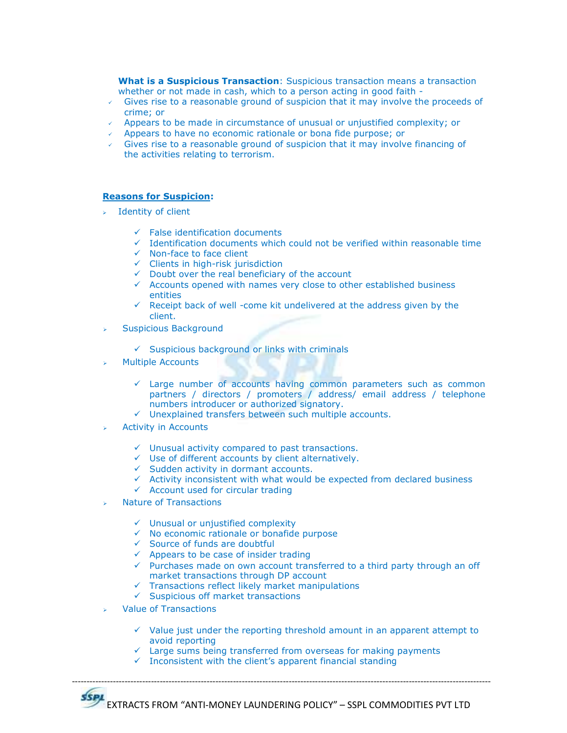**What is a Suspicious Transaction**: Suspicious transaction means a transaction whether or not made in cash, which to a person acting in good faith -

- $\sqrt{ }$  Gives rise to a reasonable ground of suspicion that it may involve the proceeds of crime; or
- Appears to be made in circumstance of unusual or unjustified complexity; or
- Appears to have no economic rationale or bona fide purpose; or
- Gives rise to a reasonable ground of suspicion that it may involve financing of the activities relating to terrorism.

# **Reasons for Suspicion:**

- $\rightarrow$  Identity of client
	- $\checkmark$  False identification documents
	- $\checkmark$  Identification documents which could not be verified within reasonable time
	- $\checkmark$  Non-face to face client
	- $\checkmark$  Clients in high-risk jurisdiction
	- $\checkmark$  Doubt over the real beneficiary of the account
	- $\checkmark$  Accounts opened with names very close to other established business entities
	- $\checkmark$  Receipt back of well -come kit undelivered at the address given by the client.
- Suspicious Background
	- $\checkmark$  Suspicious background or links with criminals
- Multiple Accounts
	- $\checkmark$  Large number of accounts having common parameters such as common partners / directors / promoters / address/ email address / telephone numbers introducer or authorized signatory.
	- $\checkmark$  Unexplained transfers between such multiple accounts.
- Activity in Accounts
	- $\checkmark$  Unusual activity compared to past transactions.
	- $\checkmark$  Use of different accounts by client alternatively.
	- $\checkmark$  Sudden activity in dormant accounts.
	- $\checkmark$  Activity inconsistent with what would be expected from declared business
	- $\checkmark$  Account used for circular trading
- Nature of Transactions
	- $\checkmark$  Unusual or unjustified complexity
	- $\checkmark$  No economic rationale or bonafide purpose
	- $\checkmark$  Source of funds are doubtful
	- $\checkmark$  Appears to be case of insider trading
	- $\checkmark$  Purchases made on own account transferred to a third party through an off market transactions through DP account
	- $\checkmark$  Transactions reflect likely market manipulations
	- $\checkmark$  Suspicious off market transactions
- Value of Transactions
	- $\checkmark$  Value just under the reporting threshold amount in an apparent attempt to avoid reporting
	- $\checkmark$  Large sums being transferred from overseas for making payments
	- $\checkmark$  Inconsistent with the client's apparent financial standing